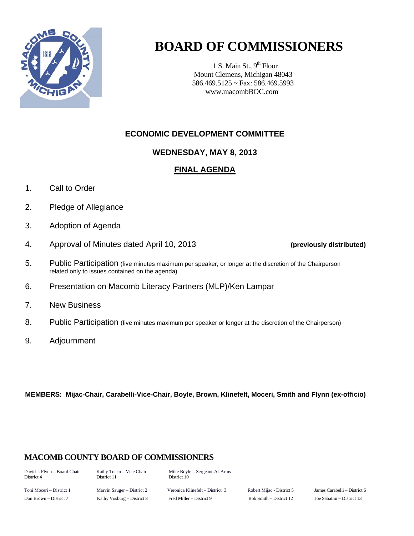

# **BOARD OF COMMISSIONERS**

1 S. Main St.,  $9<sup>th</sup>$  Floor Mount Clemens, Michigan 48043 586.469.5125 ~ Fax: 586.469.5993 www.macombBOC.com

## **ECONOMIC DEVELOPMENT COMMITTEE**

### **WEDNESDAY, MAY 8, 2013**

#### **FINAL AGENDA**

- 1. Call to Order
- 2. Pledge of Allegiance
- 3. Adoption of Agenda
- 4. Approval of Minutes dated April 10, 2013 **(previously distributed)**
- 5. Public Participation (five minutes maximum per speaker, or longer at the discretion of the Chairperson related only to issues contained on the agenda)
- 6. Presentation on Macomb Literacy Partners (MLP)/Ken Lampar
- 7. New Business
- 8. Public Participation (five minutes maximum per speaker or longer at the discretion of the Chairperson)
- 9. Adjournment

**MEMBERS: Mijac-Chair, Carabelli-Vice-Chair, Boyle, Brown, Klinefelt, Moceri, Smith and Flynn (ex-officio)** 

### **MACOMB COUNTY BOARD OF COMMISSIONERS**

District 11 District 10

David J. Flynn – Board Chair Kathy Tocco – Vice Chair Mike Boyle – Sergeant-At-Arms<br>District 4 District 11 District 10

Toni Moceri – District 1 Marvin Sauger – District 2 Veronica Klinefelt – District 3 Robert Mijac - District 5 James Carabelli – District 6 Don Brown – District 7 Kathy Vosburg – District 8 Fred Miller – District 9 Bob Smith – District 12 Joe Sabatini – District 13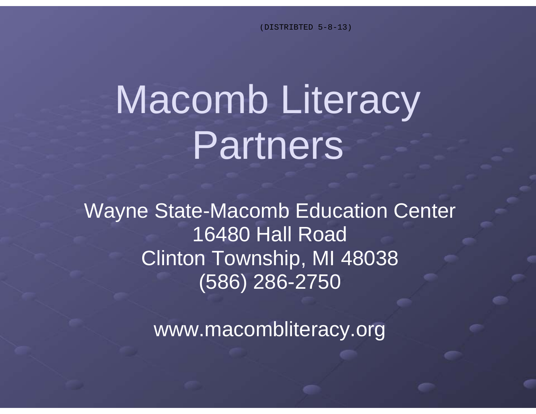(DISTRIBTED 5-8-13)

# Macomb Literacy Partners

Wayne State-Macomb Education Center 16480 Hall Road Clinton Township, MI 48038 (586) 286-2750

www.macombliteracy.org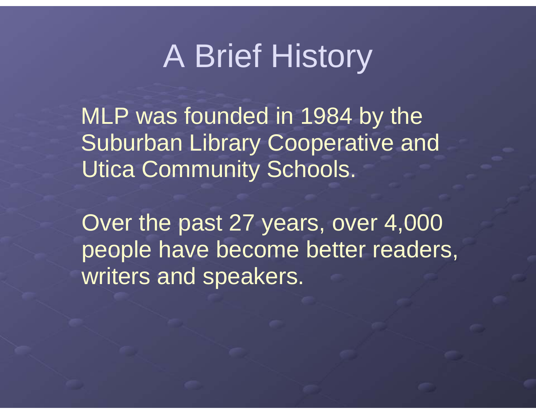# A Brief History

MLP was founded in 1984 by the Suburban Library Cooperative and Utica Community Schools.

Over the past 27 years, over 4,000 people have become better readers, writers and speakers.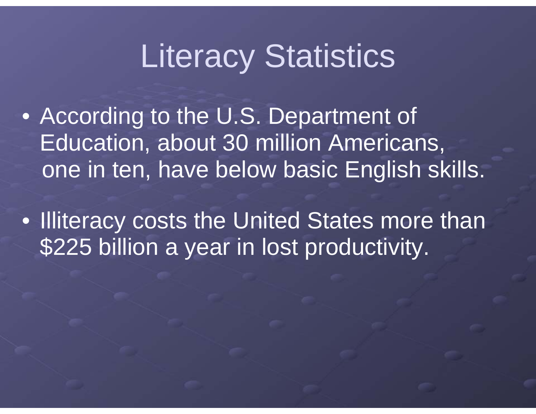# Literacy Statistics

- According to the U.S. Department of Education, about 30 million Americans, one in ten, have below basic English skills.
- Illiteracy costs the United States more than \$225 billion a year in lost productivity.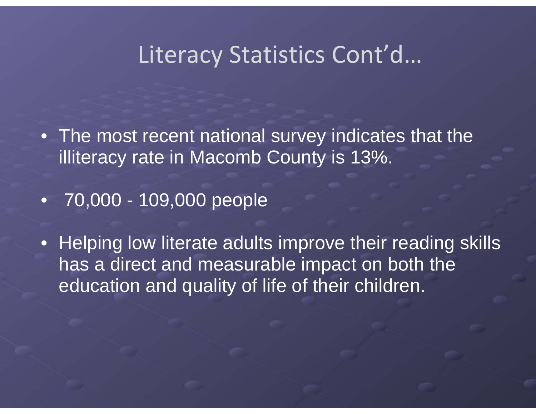# Literacy Statistics Cont'd…

• The most recent national survey indicates that the illiteracy rate in Macomb County is 13%.

• 70,000 - 109,000 people

• Helping low literate adults improve their reading skills has a direct and measurable impact on both the education and quality of life of their children.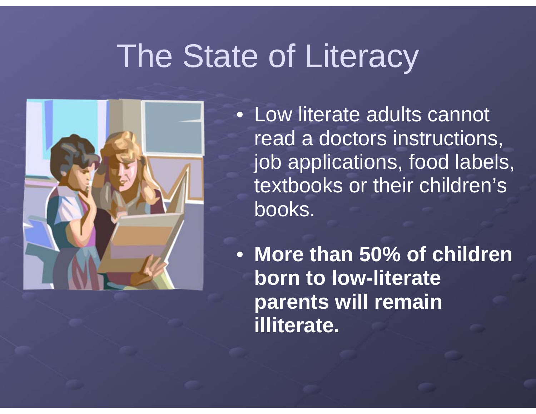# The State of Literacy



• Low literate adults cannot read a doctors instructions, job applications, food labels, textbooks or their children's books.

• **More than 50% of children born to low-literate parents will remain illiterate.**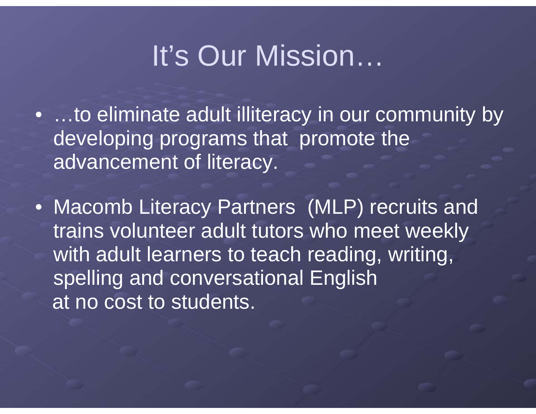# It's Our Mission…

• …to eliminate adult illiteracy in our community by developing programs that promote the advancement of literacy.

• Macomb Literacy Partners (MLP) recruits and trains volunteer adult tutors who meet weekly with adult learners to teach reading, writing, spelling and conversational English at no cost to students.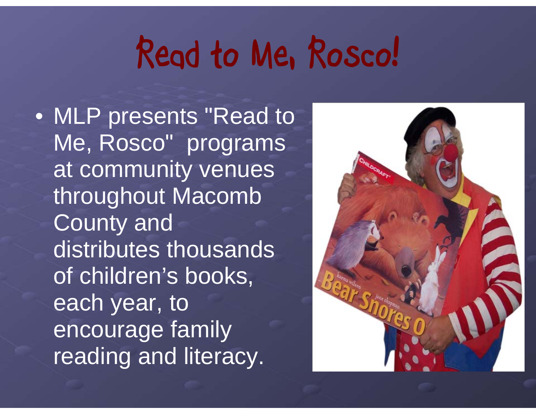# **Read to Me, Rosco!**

• MLP presents "Read to Me, Rosco" programs at community venues throughout Macomb County and distributes thousands of children's books, each year, to encourage family reading and literacy.

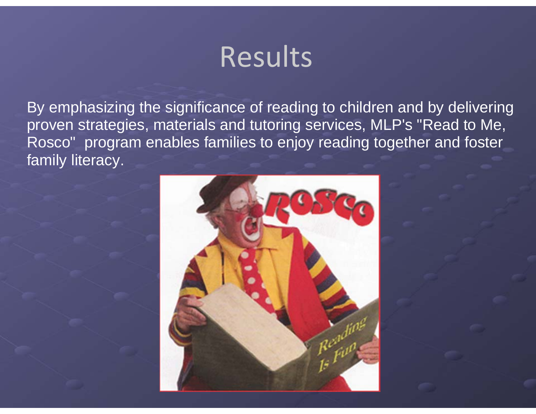# Results

By emphasizing the significance of reading to children and by delivering proven strategies, materials and tutoring services, MLP's "Read to Me, Rosco" program enables families to enjoy reading together and foster family literacy.

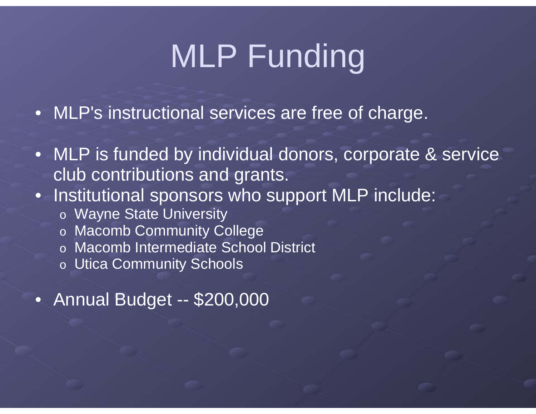# MLP Funding

- MLP's instructional services are free of charge.
- MLP is funded by individual donors, corporate & service club contributions and grants.
- Institutional sponsors who support MLP include:
	- o Wayne State University
	- o Macomb Community College
	- o Macomb Intermediate School District
	- o Utica Community Schools
- Annual Budget -- \$200,000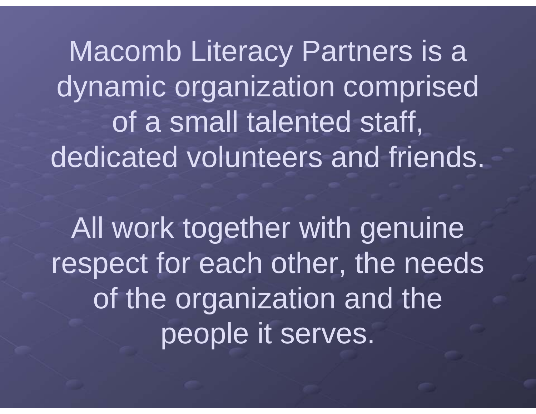Macomb Literacy Partners is a dynamic organization comprised of a small talented staff, dedicated volunteers and friends.

All work together with genuine respect for each other, the needs of the organization and the people it serves.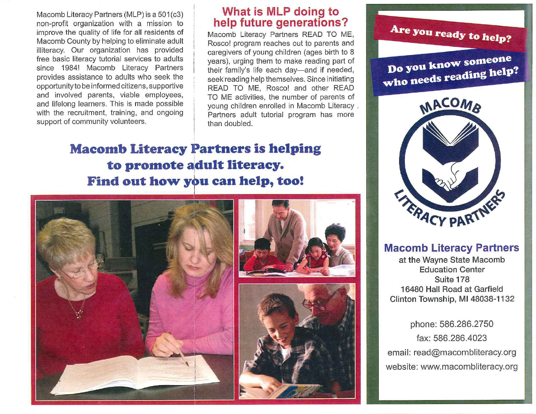Macomb Literacy Partners (MLP) is a 501(c3) non-profit organization with a mission to improve the quality of life for all residents of Macomb County by helping to eliminate adult illiteracy. Our organization has provided free basic literacy tutorial services to adults since 1984! Macomb Literacy Partners provides assistance to adults who seek the opportunityto be informed citizens , supportive and involved parents, viable employees, and lifelong learners. This is made possible with the recruitment, training, and ongoing support of community volunteers.

# **What is MLP dOing to help future generations?**

Macomb Literacy Partners READ TO ME, Rosco! program reaches out to parents and caregivers of young children (ages birth to 8 years), urging them to make reading part of their family's life each day-and if needed, seekreading help themselves. Since initiating READ TO ME, Rosco! and other READ TO ME activities, the number of parents of young children enrolled in Macomb Literacy . Partners adult tutorial program has more than doubled.

# **Macomb Literacy Partners is helping to promote adult literacy. Find out how you can help, too!**





# **Macomb Literacy Partners**

at the Wayne State Macomb Education Center Suite 178 16480 **Hall** Road at Garfield Clinton Township, M148038-1132

phone: 586.286.2750 fax: 586.286.4023 email: read@macombliteracy.org website: www.macombliteracy.org